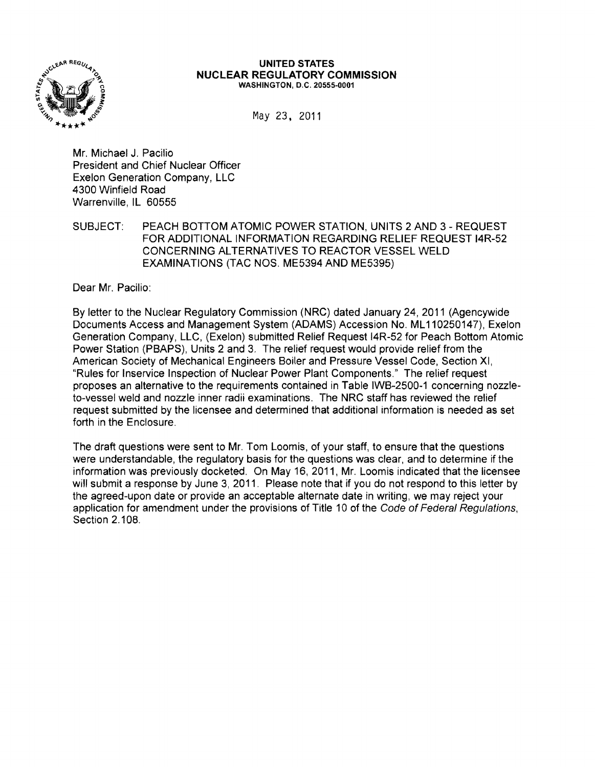

#### **UNITED STATES NUCLEAR REGULATORY COMMISSION** WASHINGTON, D.C. 20555·0001

May 23. 2011

Mr. Michael J. Pacilio President and Chief Nuclear Officer Exelon Generation Company, LLC 4300 Winfield Road Warrenville, IL 60555

SUBJECT: PEACH BOTTOM ATOMIC POWER STATION, UNITS 2 AND 3 - REQUEST FOR ADDITIONAL INFORMATION REGARDING RELIEF REQUEST 14R-52 CONCERNING ALTERNATIVES TO REACTOR VESSEL WELD EXAMINATIONS (TAC NOS. ME5394 AND ME5395)

Dear Mr. Pacilio:

By letter to the Nuclear Regulatory Commission (NRC) dated January 24,2011 (Agencywide Documents Access and Management System (ADAMS) Accession No. ML 110250147), Exelon Generation Company. LLC. (Exelon) submitted Relief Request 14R-52 for Peach Bottom Atomic Power Station (PBAPS). Units 2 and 3. The relief request would provide relief from the American Society of Mechanical Engineers Boiler and Pressure Vessel Code, Section XI. "Rules for Inservice Inspection of Nuclear Power Plant Components." The relief request proposes an alternative to the requirements contained in Table lWB-2500-1 concerning nozzleto-vessel weld and nozzle inner radii examinations. The NRC staff has reviewed the relief request submitted by the licensee and determined that additional information is needed as set forth in the Enclosure.

The draft questions were sent to Mr. Tom Loomis. of your staff, to ensure that the questions were understandable, the regulatory basis for the questions was clear, and to determine if the information was previously docketed. On May 16, 2011, Mr. Loomis indicated that the licensee will submit a response by June 3, 2011. Please note that if you do not respond to this letter by the agreed-upon date or provide an acceptable alternate date in writing, we may reject your application for amendment under the provisions of Title 10 of the Code of Federal Regulations, Section 2.108.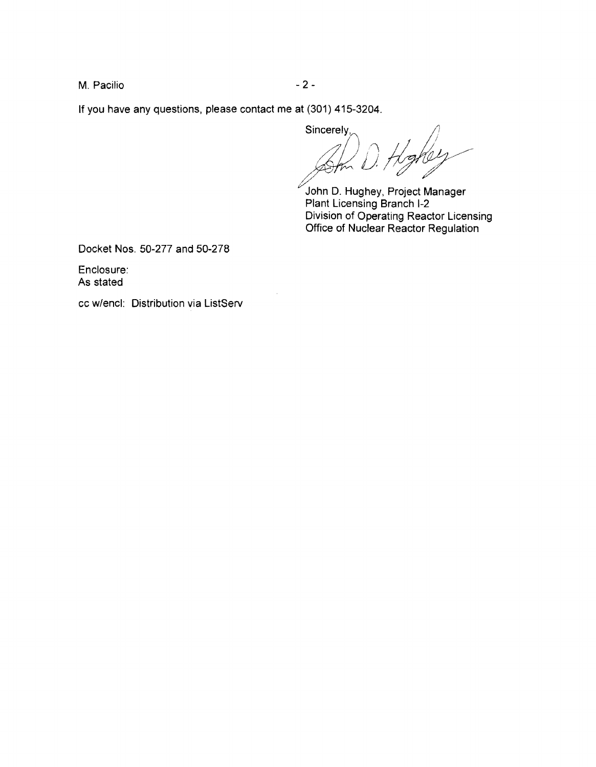M. Pacilio  $-2-$ 

If you have any questions, please contact me at (301) 415-3204.

Sincerely, )  $\wedge$  11 // I U *i*  sinceres,<br>Am D. Hoghey

John D. Hughey, Project Manager Plant Licensing Branch 1-2 Division of Operating Reactor Licensing Office of Nuclear Reactor Regulation

Docket Nos. 50-277 and 50-278

Enclosure: As stated

cc w/encl: Distribution via ListServ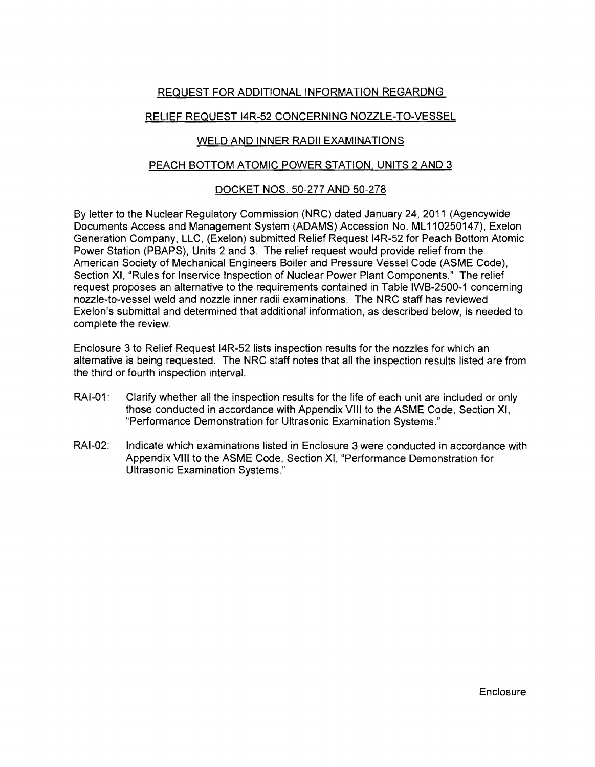# REQUEST FOR ADDITIONAL INFORMATION REGARDNG

# RELIEF REQUEST 14R-S2 CONCERNING NOZZLE-TO-VESSEL

### WELD AND INNER RADII EXAMINATIONS

### PEACH BOTTOM ATOMIC POWER STATION, UNITS 2 AND 3

# DOCKET NOS. SO-277 AND 50-278

By letter to the Nuclear Regulatory Commission (NRC) dated January 24, 2011 (Agencywide Documents Access and Management System (ADAMS) Accession No. ML 1102S0147), Exelon Generation Company, LLC, (Exelon) submitted Relief Request 14R-S2 for Peach Bottom Atomic Power Station (PBAPS), Units 2 and 3. The relief request would provide relief from the American SOciety of Mechanical Engineers Boiler and Pressure Vessel Code (ASME Code), Section XI, "Rules for Inservice Inspection of Nuclear Power Plant Components." The relief request proposes an alternative to the requirements contained in Table IWB-2500-1 concerning nozzle-to-vessel weld and nozzle inner radii examinations. The NRC staff has reviewed Exelon's submittal and determined that additional information, as described below, is needed to complete the review.

Enclosure 3 to Relief Request 14R-52 lists inspection results for the nozzles for which an alternative is being requested. The NRC staff notes that all the inspection results listed are from the third or fourth inspection interval.

- RAI-01: Clarify whether all the inspection results for the life of each unit are included or only those conducted in accordance with Appendix VIII to the ASME Code, Section XI, "Performance Demonstration for Ultrasonic Examination Systems."
- RAI-02: Indicate which examinations listed in Enclosure 3 were conducted in accordance with Appendix VIII to the ASME Code, Section XI, "Performance Demonstration for Ultrasonic Examination Systems."